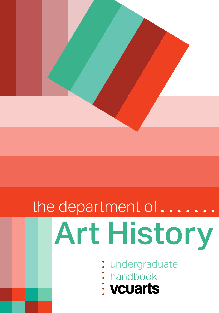

# the department of...... Art History

- undergraduate
- handbook
-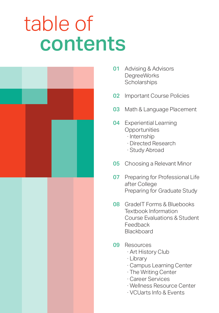## table of contents



- **01** Advising & Advisors DegreeWorks **Scholarships**
- **02** Important Course Policies
- **03** Math & Language Placement
- **04** Experiential Learning **Opportunities** 
	- ∙ Internship
	- ∙ Directed Research
	- ∙ Study Abroad
- **05** Choosing a Relevant Minor
- **07** Preparing for Professional Life after College Preparing for Graduate Study
- **08** GradeIT Forms & Bluebooks Textbook Information Course Evaluations & Student Feedback **Blackboard**
- 09 Resources
	- ∙ Art History Club
	- ∙ Library
	- ∙ Campus Learning Center
	- ∙ The Writing Center
	- ∙ Career Services
	- ∙ Wellness Resource Center
	- ∙ VCUarts Info & Events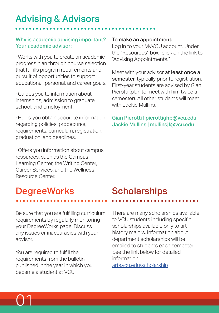### Advising & Advisors

#### Why is academic advising important? Your academic advisor:

∙ Works with you to create an academic progress plan through course selection that fulfills program requirements and pursuit of opportunities to support educational, personal, and career goals.

∙ Guides you to information about internships, admission to graduate school, and employment.

∙ Helps you obtain accurate information regarding policies, procedures, requirements, curriculum, registration, graduation, and deadlines.

∙ Offers you information about campus resources, such as the Campus Learning Center, the Writing Center, Career Services, and the Wellness Resource Center.

### **DegreeWorks**

Be sure that you are fulfilling curriculum requirements by regularly monitoring your DegreeWorks page. Discuss any issues or inaccuracies with your advisor.

You are required to fulfill the requirements from the bulletin published in the year in which you became a student at VCU.

#### To make an appointment:

Log in to your MyVCU account. Under the "Resources" box, click on the link to "Advising Appointments."

Meet with your advisor at least once a semester, typically prior to registration. First-year students are advised by Gian Pierotti (plan to meet with him twice a semester). All other students will meet with Jackie Mullins.

#### Gian Pierotti | pierottighp@vcu.edu Jackie Mullins | mullinsjf@vcu.edu

### **Scholarships**

There are many scholarships available to VCU students including specific scholarships available only to art history majors. Information about department scholarships will be emailed to students each semester. See the link below for detailed information arts.vcu.edu/scholarship

01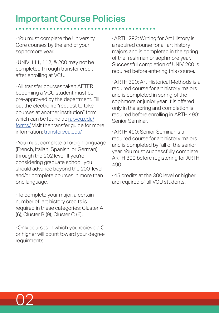### Important Course Policies

∙ You must complete the University Core courses by the end of your sophomore year.

∙ UNIV 111, 112, & 200 may not be completed through transfer credit after enrolling at VCU.

∙ All transfer courses taken AFTER becoming a VCU student must be pre-approved by the department. Fill out the electronic "request to take courses at another institution" form which can be found at: rar.vcu.edu/ forms/ Visit the transfer guide for more information: transfer.vcu.edu/

∙ You must complete a foreign language (French, Italian, Spanish, or German) through the 202 level. If you're considering graduate school, you should advance beyond the 200-level and/or complete courses in more than one language.

∙ To complete your major, a certain number of art history credits is required in these categories: Cluster A (6), Cluster B (9), Cluster C (6).

∙ Only courses in which you recieve a C or higher will count toward your degree requirments.

∙ ARTH 292: Writing for Art History is a required course for all art history majors and is completed in the spring of the freshman or sophmore year. Successful completion of UNIV 200 is required before entering this course.

∙ ARTH 390: Art Historical Methods is a required course for art history majors and is completed in spring of the sophmore or junior year. It is offered only in the spring and completion is required before enrolling in ARTH 490: Senior Seminar.

∙ ARTH 490: Senior Seminar is a required course for art history majors and is completed by fall of the senior year. You must successfully complete ARTH 390 before registering for ARTH 490.

∙ 45 credits at the 300 level or higher are required of all VCU students.

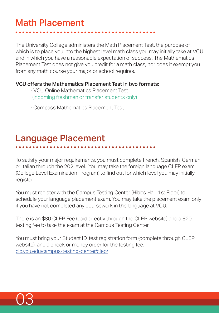### Math Placement

The University College administers the Math Placement Test, the purpose of which is to place you into the highest level math class you may initially take at VCU and in which you have a reasonable expectation of success. The Mathematics Placement Test does not give you credit for a math class, nor does it exempt you from any math course your major or school requires.

#### VCU offers the Mathematics Placement Test in two formats:

- ∙ VCU Online Mathematics Placement Test (incoming freshmen or transfer students only)
- ∙ Compass Mathematics Placement Test

### Language Placement

To satisfy your major requirements, you must complete French, Spanish, German, or Italian through the 202 level. You may take the foreign language CLEP exam (College Level Examination Program) to find out for which level you may initially register.

You must register with the Campus Testing Center (Hibbs Hall, 1st Floor) to schedule your language placement exam. You may take the placement exam only if you have not completed any coursework in the language at VCU.

There is an \$80 CLEP Fee (paid directly through the CLEP website) and a \$20 testing fee to take the exam at the Campus Testing Center.

You must bring your Student ID, test registration form (complete through CLEP website), and a check or money order for the testing fee. clc.vcu.edu/campus-testing-center/clep/

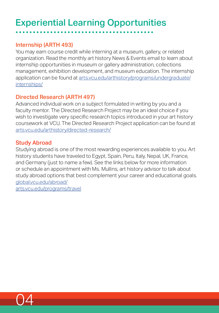### Experiential Learning Opportunities

#### Internship (ARTH 493)

You may earn course credit while interning at a museum, gallery, or related organization. Read the monthly art history News & Events email to learn about internship opportunities in museum or gallery administration, collections management, exhibition development, and museum education. The internship application can be found at arts.vcu.edu/arthistory/programs/undergraduate/ internships/

#### Directed Research (ARTH 497)

Advanced individual work on a subject formulated in writing by you and a faculty mentor. The Directed Research Project may be an ideal choice if you wish to investigate very specific research topics introduced in your art history coursework at VCU. The Directed Research Project application can be found at arts.vcu.edu/arthistory/directed-research/

#### Study Abroad

Studying abroad is one of the most rewarding experiences available to you. Art history students have traveled to Egypt, Spain, Peru, Italy, Nepal, UK, France, and Germany (just to name a few). See the links below for more information or schedule an appointment with Ms. Mullins, art history advisor to talk about study abroad options that best complement your career and educational goals. global.vcu.edu/abroad/

arts.vcu.edu/programs/travel

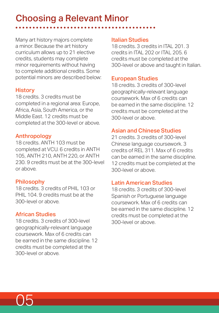### Choosing a Relevant Minor

Many art history majors complete a minor. Because the art history curriculum allows up to 21 elective credits, students may complete minor requirements without having to complete additional credits. Some potential minors are described below:

#### **History**

18 credits. 3 credits must be completed in a regional area: Europe, Africa, Asia, South America, or the Middle East. 12 credits must be completed at the 300-level or above.

#### Anthropology

18 credits. ANTH 103 must be completed at VCU. 6 credits in ANTH 105, ANTH 210, ANTH 220, or ANTH 230. 9 credits must be at the 300-level or above.

#### Philosophy

18 credits. 3 credits of PHIL 103 or PHIL 104. 9 credits must be at the 300-level or above.

#### African Studies

18 credits. 3 credits of 300-level geographically-relevant language coursework. Max of 6 credits can be earned in the same discipline. 12 credits must be completed at the 300-level or above.

#### Italian Studies

18 credits. 3 credits in ITAL 201. 3 credits in ITAL 202 or ITAL 205. 6 credits must be completed at the 300-level or above and taught in Italian.

#### European Studies

18 credits. 3 credits of 300-level geographically-relevant language coursework. Max of 6 credits can be earned in the same discipline. 12 credits must be completed at the 300-level or above.

#### Asian and Chinese Studies

21 credits. 3 credits of 300-level Chinese language coursework. 3 credits of REL 311. Max of 6 credits can be earned in the same discipline. 12 credits must be completed at the 300-level or above.

#### Latin American Studies

18 credits. 3 credits of 300-level Spanish or Portuguese language coursework. Max of 6 credits can be earned in the same discipline. 12 credits must be completed at the 300-level or above.

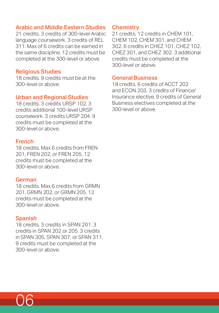#### Arabic and Middle Eastern Studies

21 credits. 3 credits of 300-level Arabic language coursework. 3 credits of REL 311. Max of 6 credits can be earned in the same discipline. 12 credits must be completed at the 300-level or above.

#### Religious Studies

18 credits. 9 credits must be at the 300-level or above.

#### Urban and Regional Studies

18 credits. 3 credits URSP 102. 3 credits additional 100-level URSP coursework. 3 credits URSP 204. 9 credits must be completed at the 300-level or above.

#### French

18 credits. Max 6 credits from FREN 201, FREN 202, or FREN 205. 12 credits must be completed at the 300-level or above.

#### German

18 credits. Max 6 credits from GRMN 201, GRMN 202, or GRMN 205. 12 credits must be completed at the 300-level or above.

#### Spanish

18 credits. 3 credits in SPAN 201. 3 credits in SPAN 202 or 205. 3 credits in SPAN 305, SPAN 307, or SPAN 311. 9 credits must be completed at the 300-level or above.

#### **Chemistry**

21 credits. 12 credits in CHEM 101, CHEM 102, CHEM 301, and CHEM 302. 6 credits in CHEZ 101, CHEZ 102, CHEZ 301, and CHEZ 302. 3 additional credits must be completed at the 300-level or above.

#### General Business

18 credits. 6 credits of ACCT 202 and ECON 203. 3 credits of Finance/ Insurance elective. 9 credits of General Business electives completed at the 300-level or above.

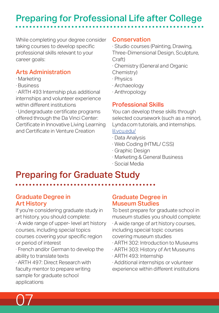### Preparing for Professional Life after College

While completing your degree consider taking courses to develop specific professional skills relevant to your career goals:

#### Arts Administration

- ∙ Marketing
- ∙ Business

∙ ARTH 493 Internship plus additional internships and volunteer experience within different institutions

∙ Undergraduate certificate programs offered through the Da Vinci Center: Certificate in Innovative Living Learning and Certificate in Venture Creation

#### **Conservation**

∙ Studio courses (Painting, Drawing, Three-Dimensional Design, Sculpture, Craft)

∙ Chemistry (General and Organic Chemistry)

- ∙ Physics
- ∙ Archaeology
- ∙ Anthropology

#### Professional Skills

You can develop these skills through selected coursework (such as a minor), Lynda.com tutorials, and internships. lil.vcu.edu/

- ∙ Data Analysis
- ∙ Web Coding (HTML/ CSS)
- ∙ Graphic Design
- ∙ Marketing & General Business
- ∙ Social Media

### Preparing for Graduate Study

#### Graduate Degree in Art History

If you're considering graduate study in art history, you should complete:

∙ A wide range of upper- level art history courses, including special topics courses covering your specific region or period of interest

∙ French and/or German to develop the ability to translate texts

∙ ARTH 497: Direct Research with faculty mentor to prepare writing sample for graduate school applications

#### Graduate Degree in Museum Studies

To best prepare for graduate school in museum studies you should complete:

∙ A wide range of art history courses, including special topic courses covering museum studies

- ∙ ARTH 302: Introduction to Museums
- ∙ ARTH 303: History of Art Museums
- ∙ ARTH 493: Internship
- ∙ Additional internships or volunteer experience within different institutions

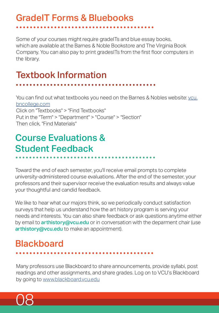### GradeIT Forms & Bluebooks

Some of your courses might require gradeITs and blue essay books, which are available at the Barnes & Noble Bookstore and The Virginia Book Company. You can also pay to print gradesITs from the first floor computers in the library.

### Textbook Information

You can find out what textbooks you need on the Barnes & Nobles website: vcu. bncollege.com

Click on "Textbooks" > "Find Textbooks" Put in the "Term" > "Department" > "Course" > "Section" Then click, "Find Materials"

### Course Evaluations & Student Feedback

Toward the end of each semester, you'll receive email prompts to complete university-administered course evaluations. After the end of the semester, your professors and their supervisor receive the evaluation results and always value your thoughtful and candid feedback.

We like to hear what our majors think, so we periodically conduct satisfaction surveys that help us understand how the art history program is serving your needs and interests. You can also share feedback or ask questions anytime either by email to **arthistory@vcu.edu** or in conversation with the deparment chair (use arthistory@vcu.edu to make an appointment).

### **Blackboard**

Many professors use Blackboard to share announcements, provide syllabi, post readings and other assignments, and share grades. Log on to VCU's Blackboard by going to www.blackboard.vcu.edu

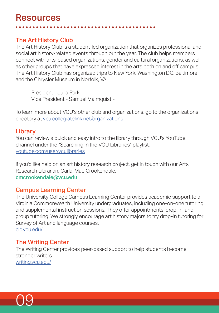#### The Art History Club

The Art History Club is a student-led organization that organizes professional and social art history-related events through out the year. The club helps members connect with arts-based organizations, gender and cultural organizations, as well as other groups that have expressed interest in the arts both on and off campus. The Art History Club has organized trips to New York, Washington DC, Baltimore and the Chrysler Museum in Norfolk, VA.

President - Julia Park Vice President - Samuel Malmquist -

To learn more about VCU's other club and organizations, go to the organizations directory at vcu.collegiatelink.net/organizations

#### Library

You can review a quick and easy intro to the library through VCU's YouTube channel under the "Searching in the VCU Libraries" playlist: youtube.com/user/vculibraries

If you'd like help on an art history research project, get in touch with our Arts Research Librarian, Carla-Mae Crookendale. cmcrookendale@vcu.edu

#### Campus Learning Center

The University College Campus Learning Center provides academic support to all Virginia Commonwealth University undergraduates, including one-on-one tutoring and supplemental instruction sessions. They offer appointments, drop-in, and group tutoring. We strongly encourage art history majors to try drop-in tutoring for Survey of Art and language courses. clc.vcu.edu/

#### The Writing Center

The Writing Center provides peer-based support to help students become stronger writers. writing.vcu.edu/

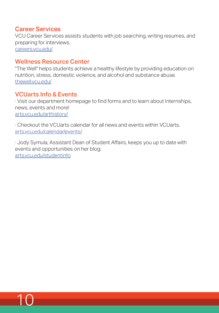#### Career Services

VCU Career Services assists students with job searching, writing resumes, and preparing for interviews. careers.vcu.edu/

#### Wellness Resource Center

"The Well" helps students achieve a healthy lifestyle by providing education on nutrition, stress, domestic violence, and alcohol and substance abuse. thewell.vcu.edu/

#### VCUarts Info & Events

10

∙ Visit our department homepage to find forms and to learn about internships, news, events and more! arts.vcu.edu/arthistory/

∙ Checkout the VCUarts calendar for all news and events within VCUarts. arts.vcu.edu/calendar/events/

∙ Jody Symula, Assistant Dean of Student Affairs, keeps you up to date with events and opportunities on her blog: arts.vcu.edu/studentinfo